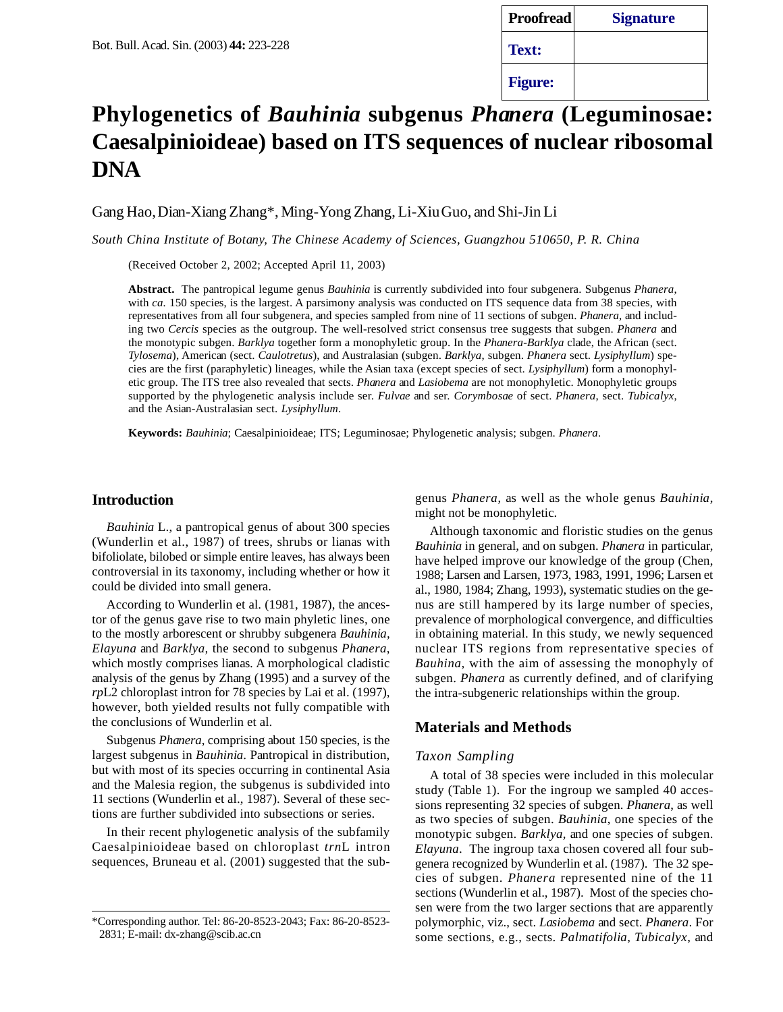| <b>Proofread</b> | <b>Signature</b> |
|------------------|------------------|
| Text:            |                  |
| <b>Figure:</b>   |                  |

# **Phylogenetics of** *Bauhinia* **subgenus** *Phanera* **(Leguminosae: Caesalpinioideae) based on ITS sequences of nuclear ribosomal DNA**

Gang Hao, Dian-Xiang Zhang\*, Ming-Yong Zhang, Li-Xiu Guo, and Shi-Jin Li

*South China Institute of Botany, The Chinese Academy of Sciences, Guangzhou 510650, P. R. China*

(Received October 2, 2002; Accepted April 11, 2003)

**Abstract.** The pantropical legume genus *Bauhinia* is currently subdivided into four subgenera. Subgenus *Phanera*, with *ca.* 150 species, is the largest. A parsimony analysis was conducted on ITS sequence data from 38 species, with representatives from all four subgenera, and species sampled from nine of 11 sections of subgen. *Phanera,* and including two *Cercis* species as the outgroup. The well-resolved strict consensus tree suggests that subgen. *Phanera* and the monotypic subgen. *Barklya* together form a monophyletic group. In the *Phanera-Barklya* clade, the African (sect. *Tylosema*), American (sect. *Caulotretus*), and Australasian (subgen. *Barklya*, subgen. *Phanera* sect. *Lysiphyllum*) species are the first (paraphyletic) lineages, while the Asian taxa (except species of sect. *Lysiphyllum*) form a monophyletic group. The ITS tree also revealed that sects. *Phanera* and *Lasiobema* are not monophyletic. Monophyletic groups supported by the phylogenetic analysis include ser. *Fulvae* and ser. *Corymbosae* of sect. *Phanera*, sect. *Tubicalyx*, and the Asian-Australasian sect. *Lysiphyllum*.

**Keywords:** *Bauhinia*; Caesalpinioideae; ITS; Leguminosae; Phylogenetic analysis; subgen. *Phanera*.

### **Introduction**

*Bauhinia* L., a pantropical genus of about 300 species (Wunderlin et al., 1987) of trees, shrubs or lianas with bifoliolate, bilobed or simple entire leaves, has always been controversial in its taxonomy, including whether or how it could be divided into small genera.

According to Wunderlin et al. (1981, 1987), the ancestor of the genus gave rise to two main phyletic lines, one to the mostly arborescent or shrubby subgenera *Bauhinia, Elayuna* and *Barklya,* the second to subgenus *Phanera*, which mostly comprises lianas*.* A morphological cladistic analysis of the genus by Zhang (1995) and a survey of the *rp*L2 chloroplast intron for 78 species by Lai et al. (1997), however, both yielded results not fully compatible with the conclusions of Wunderlin et al.

Subgenus *Phanera*, comprising about 150 species, is the largest subgenus in *Bauhinia*. Pantropical in distribution, but with most of its species occurring in continental Asia and the Malesia region, the subgenus is subdivided into 11 sections (Wunderlin et al., 1987). Several of these sections are further subdivided into subsections or series.

In their recent phylogenetic analysis of the subfamily Caesalpinioideae based on chloroplast *trn*L intron sequences, Bruneau et al. (2001) suggested that the subgenus *Phanera*, as well as the whole genus *Bauhinia*, might not be monophyletic.

Although taxonomic and floristic studies on the genus *Bauhinia* in general, and on subgen. *Phanera* in particular, have helped improve our knowledge of the group (Chen, 1988; Larsen and Larsen, 1973, 1983, 1991, 1996; Larsen et al., 1980, 1984; Zhang, 1993), systematic studies on the genus are still hampered by its large number of species, prevalence of morphological convergence, and difficulties in obtaining material. In this study, we newly sequenced nuclear ITS regions from representative species of *Bauhina,* with the aim of assessing the monophyly of subgen. *Phanera* as currently defined, and of clarifying the intra-subgeneric relationships within the group.

# **Materials and Methods**

#### *Taxon Sampling*

A total of 38 species were included in this molecular study (Table 1). For the ingroup we sampled 40 accessions representing 32 species of subgen. *Phanera*, as well as two species of subgen. *Bauhinia*, one species of the monotypic subgen. *Barklya*, and one species of subgen. *Elayuna*. The ingroup taxa chosen covered all four subgenera recognized by Wunderlin et al. (1987). The 32 species of subgen. *Phanera* represented nine of the 11 sections (Wunderlin et al., 1987). Most of the species chosen were from the two larger sections that are apparently polymorphic, viz., sect. *Lasiobema* and sect. *Phanera*. For some sections, e.g., sects. *Palmatifolia*, *Tubicalyx*, and

<sup>\*</sup>Corresponding author. Tel: 86-20-8523-2043; Fax: 86-20-8523- 2831; E-mail: dx-zhang@scib.ac.cn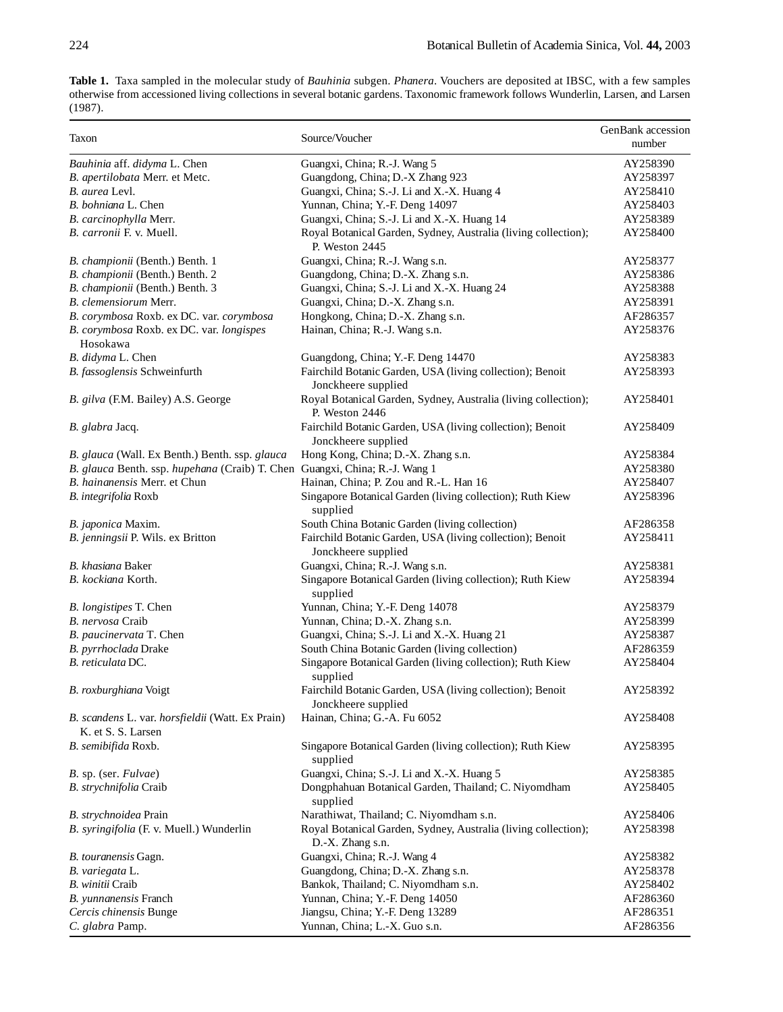**Table 1.** Taxa sampled in the molecular study of *Bauhinia* subgen. *Phanera*. Vouchers are deposited at IBSC, with a few samples otherwise from accessioned living collections in several botanic gardens. Taxonomic framework follows Wunderlin, Larsen, and Larsen (1987).

| Taxon                                                                       | Source/Voucher                                                                     | GenBank accession<br>number |
|-----------------------------------------------------------------------------|------------------------------------------------------------------------------------|-----------------------------|
| Bauhinia aff. didyma L. Chen                                                | Guangxi, China; R.-J. Wang 5                                                       | AY258390                    |
| B. apertilobata Merr. et Metc.                                              | Guangdong, China; D.-X Zhang 923                                                   | AY258397                    |
| B. aurea Levl.                                                              | Guangxi, China; S.-J. Li and X.-X. Huang 4                                         | AY258410                    |
| B. bohniana L. Chen                                                         | Yunnan, China; Y.-F. Deng 14097                                                    | AY258403                    |
| B. carcinophylla Merr.                                                      | Guangxi, China; S.-J. Li and X.-X. Huang 14                                        | AY258389                    |
| B. carronii F. v. Muell.                                                    | Royal Botanical Garden, Sydney, Australia (living collection);<br>P. Weston 2445   | AY258400                    |
| B. championii (Benth.) Benth. 1                                             | Guangxi, China; R.-J. Wang s.n.                                                    | AY258377                    |
| B. championii (Benth.) Benth. 2                                             | Guangdong, China; D.-X. Zhang s.n.                                                 | AY258386                    |
| B. championii (Benth.) Benth. 3                                             | Guangxi, China; S.-J. Li and X.-X. Huang 24                                        | AY258388                    |
| B. clemensiorum Merr.                                                       | Guangxi, China; D.-X. Zhang s.n.                                                   | AY258391                    |
| B. corymbosa Roxb. ex DC. var. corymbosa                                    | Hongkong, China; D.-X. Zhang s.n.                                                  | AF286357                    |
| B. corymbosa Roxb. ex DC. var. longispes<br>Hosokawa                        | Hainan, China; R.-J. Wang s.n.                                                     | AY258376                    |
| B. didyma L. Chen                                                           | Guangdong, China; Y.-F. Deng 14470                                                 | AY258383                    |
| B. fassoglensis Schweinfurth                                                | Fairchild Botanic Garden, USA (living collection); Benoit<br>Jonckheere supplied   | AY258393                    |
| B. gilva (F.M. Bailey) A.S. George                                          | Royal Botanical Garden, Sydney, Australia (living collection);<br>P. Weston 2446   | AY258401                    |
| B. glabra Jacq.                                                             | Fairchild Botanic Garden, USA (living collection); Benoit<br>Jonckheere supplied   | AY258409                    |
| B. glauca (Wall. Ex Benth.) Benth. ssp. glauca                              | Hong Kong, China; D.-X. Zhang s.n.                                                 | AY258384                    |
| B. glauca Benth. ssp. hupehana (Craib) T. Chen Guangxi, China; R.-J. Wang 1 |                                                                                    | AY258380                    |
| B. hainanensis Merr. et Chun                                                | Hainan, China; P. Zou and R.-L. Han 16                                             | AY258407                    |
| B. integrifolia Roxb                                                        | Singapore Botanical Garden (living collection); Ruth Kiew<br>supplied              | AY258396                    |
| B. japonica Maxim.                                                          | South China Botanic Garden (living collection)                                     | AF286358                    |
| B. jenningsii P. Wils. ex Britton                                           | Fairchild Botanic Garden, USA (living collection); Benoit<br>Jonckheere supplied   | AY258411                    |
| B. khasiana Baker                                                           | Guangxi, China; R.-J. Wang s.n.                                                    | AY258381                    |
| B. kockiana Korth.                                                          | Singapore Botanical Garden (living collection); Ruth Kiew<br>supplied              | AY258394                    |
| <i>B. longistipes</i> T. Chen                                               | Yunnan, China; Y.-F. Deng 14078                                                    | AY258379                    |
| B. nervosa Craib                                                            | Yunnan, China; D.-X. Zhang s.n.                                                    | AY258399                    |
| B. paucinervata T. Chen                                                     | Guangxi, China; S.-J. Li and X.-X. Huang 21                                        | AY258387                    |
| B. pyrrhoclada Drake                                                        | South China Botanic Garden (living collection)                                     | AF286359                    |
| B. reticulata DC.                                                           | Singapore Botanical Garden (living collection); Ruth Kiew<br>supplied              | AY258404                    |
| B. roxburghiana Voigt                                                       | Fairchild Botanic Garden, USA (living collection); Benoit<br>Jonckheere supplied   | AY258392                    |
| B. scandens L. var. horsfieldii (Watt. Ex Prain)<br>K. et S. S. Larsen      | Hainan, China; G.-A. Fu 6052                                                       | AY258408                    |
| B. semibifida Roxb.                                                         | Singapore Botanical Garden (living collection); Ruth Kiew<br>supplied              | AY258395                    |
| B. sp. (ser. Fulvae)                                                        | Guangxi, China; S.-J. Li and X.-X. Huang 5                                         | AY258385                    |
| B. strychnifolia Craib                                                      | Dongphahuan Botanical Garden, Thailand; C. Niyomdham<br>supplied                   | AY258405                    |
| B. strychnoidea Prain                                                       | Narathiwat, Thailand; C. Niyomdham s.n.                                            | AY258406                    |
| B. syringifolia (F. v. Muell.) Wunderlin                                    | Royal Botanical Garden, Sydney, Australia (living collection);<br>D.-X. Zhang s.n. | AY258398                    |
| B. touranensis Gagn.                                                        | Guangxi, China; R.-J. Wang 4                                                       | AY258382                    |
| B. variegata L.                                                             | Guangdong, China; D.-X. Zhang s.n.                                                 | AY258378                    |
| B. winitii Craib                                                            | Bankok, Thailand; C. Niyomdham s.n.                                                | AY258402                    |
| B. yunnanensis Franch                                                       | Yunnan, China; Y.-F. Deng 14050                                                    | AF286360                    |
| Cercis chinensis Bunge                                                      | Jiangsu, China; Y.-F. Deng 13289                                                   | AF286351                    |
| C. glabra Pamp.                                                             | Yunnan, China; L.-X. Guo s.n.                                                      | AF286356                    |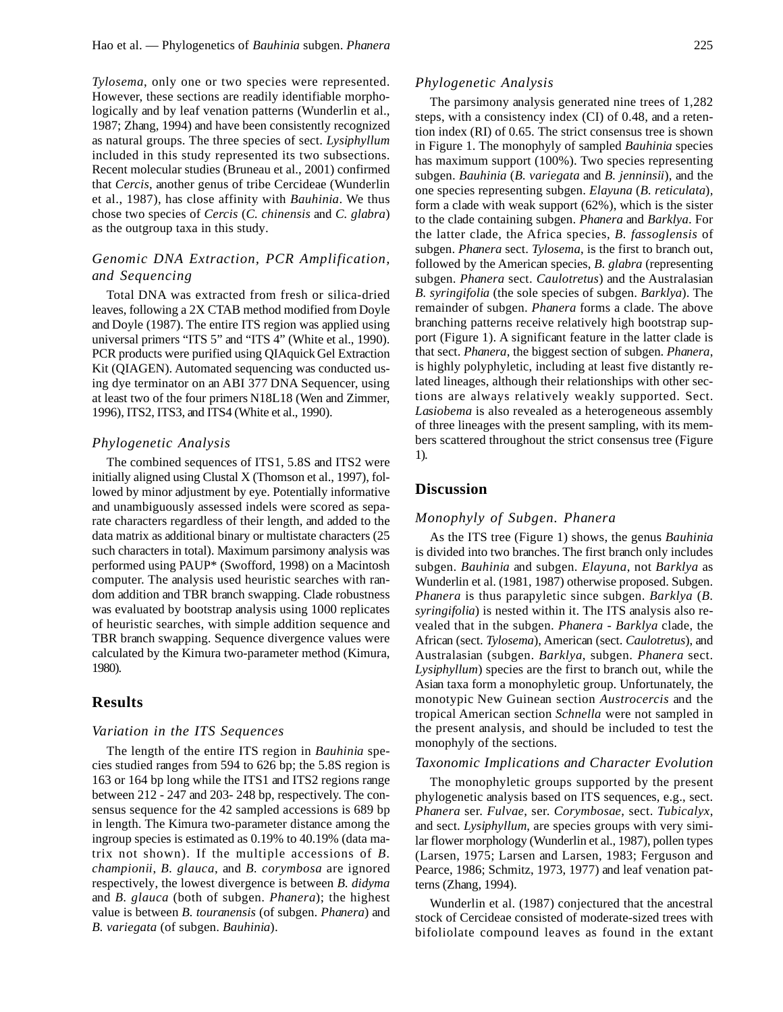*Tylosema*, only one or two species were represented. However, these sections are readily identifiable morphologically and by leaf venation patterns (Wunderlin et al., 1987; Zhang, 1994) and have been consistently recognized as natural groups. The three species of sect. *Lysiphyllum* included in this study represented its two subsections. Recent molecular studies (Bruneau et al., 2001) confirmed that *Cercis*, another genus of tribe Cercideae (Wunderlin et al., 1987), has close affinity with *Bauhinia*. We thus chose two species of *Cercis* (*C. chinensis* and *C. glabra*) as the outgroup taxa in this study.

# *Genomic DNA Extraction, PCR Amplification, and Sequencing*

Total DNA was extracted from fresh or silica-dried leaves, following a 2X CTAB method modified from Doyle and Doyle (1987). The entire ITS region was applied using universal primers "ITS 5" and "ITS 4" (White et al., 1990). PCR products were purified using QIAquick Gel Extraction Kit (QIAGEN). Automated sequencing was conducted using dye terminator on an ABI 377 DNA Sequencer, using at least two of the four primers N18L18 (Wen and Zimmer, 1996), ITS2, ITS3, and ITS4 (White et al., 1990).

#### *Phylogenetic Analysis*

The combined sequences of ITS1, 5.8S and ITS2 were initially aligned using Clustal X (Thomson et al., 1997), followed by minor adjustment by eye. Potentially informative and unambiguously assessed indels were scored as separate characters regardless of their length, and added to the data matrix as additional binary or multistate characters (25 such characters in total). Maximum parsimony analysis was performed using PAUP\* (Swofford, 1998) on a Macintosh computer. The analysis used heuristic searches with random addition and TBR branch swapping. Clade robustness was evaluated by bootstrap analysis using 1000 replicates of heuristic searches, with simple addition sequence and TBR branch swapping. Sequence divergence values were calculated by the Kimura two-parameter method (Kimura, 1980).

# **Results**

#### *Variation in the ITS Sequences*

The length of the entire ITS region in *Bauhinia* species studied ranges from 594 to 626 bp; the 5.8S region is 163 or 164 bp long while the ITS1 and ITS2 regions range between 212 - 247 and 203- 248 bp, respectively. The consensus sequence for the 42 sampled accessions is 689 bp in length. The Kimura two-parameter distance among the ingroup species is estimated as 0.19% to 40.19% (data matrix not shown). If the multiple accessions of *B. championii*, *B. glauca*, and *B. corymbosa* are ignored respectively, the lowest divergence is between *B. didyma* and *B. glauca* (both of subgen. *Phanera*); the highest value is between *B. touranensis* (of subgen. *Phanera*) and *B. variegata* (of subgen. *Bauhinia*).

#### *Phylogenetic Analysis*

The parsimony analysis generated nine trees of 1,282 steps, with a consistency index (CI) of 0.48, and a retention index (RI) of 0.65. The strict consensus tree is shown in Figure 1. The monophyly of sampled *Bauhinia* species has maximum support (100%). Two species representing subgen. *Bauhinia* (*B. variegata* and *B. jenninsii*)*,* and the one species representing subgen. *Elayuna* (*B. reticulata*)*,* form a clade with weak support (62%), which is the sister to the clade containing subgen. *Phanera* and *Barklya*. For the latter clade, the Africa species, *B. fassoglensis* of subgen. *Phanera* sect. *Tylosema*, is the first to branch out, followed by the American species, *B. glabra* (representing subgen. *Phanera* sect. *Caulotretus*) and the Australasian *B. syringifolia* (the sole species of subgen. *Barklya*). The remainder of subgen. *Phanera* forms a clade. The above branching patterns receive relatively high bootstrap support (Figure 1). A significant feature in the latter clade is that sect. *Phanera*, the biggest section of subgen. *Phanera*, is highly polyphyletic, including at least five distantly related lineages, although their relationships with other sections are always relatively weakly supported. Sect. *Lasiobema* is also revealed as a heterogeneous assembly of three lineages with the present sampling, with its members scattered throughout the strict consensus tree (Figure 1).

# **Discussion**

### *Monophyly of Subgen. Phanera*

As the ITS tree (Figure 1) shows, the genus *Bauhinia* is divided into two branches. The first branch only includes subgen. *Bauhinia* and subgen. *Elayuna*, not *Barklya* as Wunderlin et al. (1981, 1987) otherwise proposed. Subgen. *Phanera* is thus parapyletic since subgen. *Barklya* (*B. syringifolia*) is nested within it. The ITS analysis also revealed that in the subgen. *Phanera* - *Barklya* clade, the African (sect. *Tylosema*), American (sect. *Caulotretus*), and Australasian (subgen. *Barklya*, subgen. *Phanera* sect. *Lysiphyllum*) species are the first to branch out, while the Asian taxa form a monophyletic group. Unfortunately, the monotypic New Guinean section *Austrocercis* and the tropical American section *Schnella* were not sampled in the present analysis, and should be included to test the monophyly of the sections.

# *Taxonomic Implications and Character Evolution*

The monophyletic groups supported by the present phylogenetic analysis based on ITS sequences, e.g., sect. *Phanera* ser. *Fulvae*, ser. *Corymbosae*, sect. *Tubicalyx*, and sect. *Lysiphyllum*, are species groups with very similar flower morphology (Wunderlin et al., 1987), pollen types (Larsen, 1975; Larsen and Larsen, 1983; Ferguson and Pearce, 1986; Schmitz, 1973, 1977) and leaf venation patterns (Zhang, 1994).

Wunderlin et al. (1987) conjectured that the ancestral stock of Cercideae consisted of moderate-sized trees with bifoliolate compound leaves as found in the extant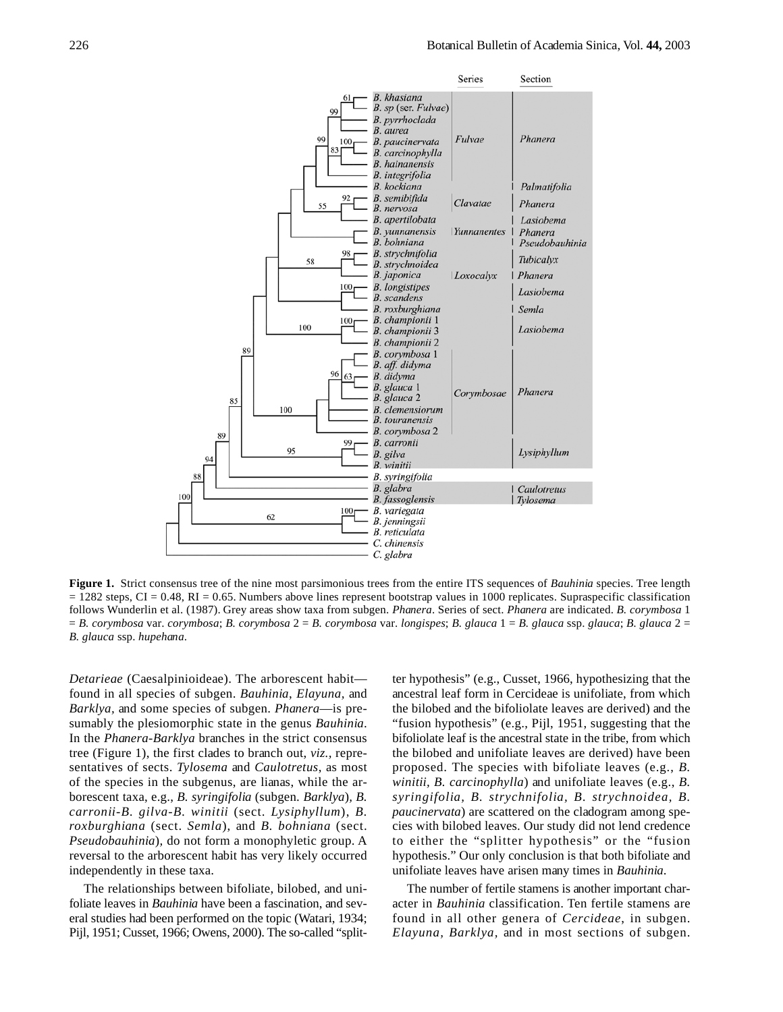

**Figure 1.** Strict consensus tree of the nine most parsimonious trees from the entire ITS sequences of *Bauhinia* species. Tree length  $= 1282$  steps, CI = 0.48, RI = 0.65. Numbers above lines represent bootstrap values in 1000 replicates. Supraspecific classification follows Wunderlin et al. (1987). Grey areas show taxa from subgen. *Phanera*. Series of sect. *Phanera* are indicated. *B. corymbosa* 1 = *B. corymbosa* var. *corymbosa*; *B. corymbosa* 2 = *B. corymbosa* var. *longispes*; *B. glauca* 1 = *B. glauca* ssp. *glauca*; *B. glauca* 2 = *B. glauca* ssp. *hupehana*.

*Detarieae* (Caesalpinioideae). The arborescent habit found in all species of subgen. *Bauhinia*, *Elayuna,* and *Barklya,* and some species of subgen. *Phanera*—is presumably the plesiomorphic state in the genus *Bauhinia*. In the *Phanera*-*Barklya* branches in the strict consensus tree (Figure 1), the first clades to branch out, *viz.,* representatives of sects. *Tylosema* and *Caulotretus*, as most of the species in the subgenus, are lianas, while the arborescent taxa, e.g., *B. syringifolia* (subgen. *Barklya*)*, B. carronii-B. gilva-B. winitii* (sect. *Lysiphyllum*), *B. roxburghiana* (sect. *Semla*), and *B. bohniana* (sect. *Pseudobauhinia*)*,* do not form a monophyletic group. A reversal to the arborescent habit has very likely occurred independently in these taxa.

The relationships between bifoliate, bilobed, and unifoliate leaves in *Bauhinia* have been a fascination, and several studies had been performed on the topic (Watari, 1934; Pijl, 1951; Cusset, 1966; Owens, 2000). The so-called "splitter hypothesis" (e.g., Cusset, 1966, hypothesizing that the ancestral leaf form in Cercideae is unifoliate, from which the bilobed and the bifoliolate leaves are derived) and the "fusion hypothesis" (e.g., Pijl, 1951, suggesting that the bifoliolate leaf is the ancestral state in the tribe, from which the bilobed and unifoliate leaves are derived) have been proposed. The species with bifoliate leaves (e.g., *B. winitii, B. carcinophylla*) and unifoliate leaves (e.g., *B. syringifolia, B. strychnifolia, B. strychnoidea, B. paucinervata*) are scattered on the cladogram among species with bilobed leaves. Our study did not lend credence to either the "splitter hypothesis" or the "fusion hypothesis." Our only conclusion is that both bifoliate and unifoliate leaves have arisen many times in *Bauhinia*.

The number of fertile stamens is another important character in *Bauhinia* classification. Ten fertile stamens are found in all other genera of *Cercideae*, in subgen. *Elayuna, Barklya,* and in most sections of subgen.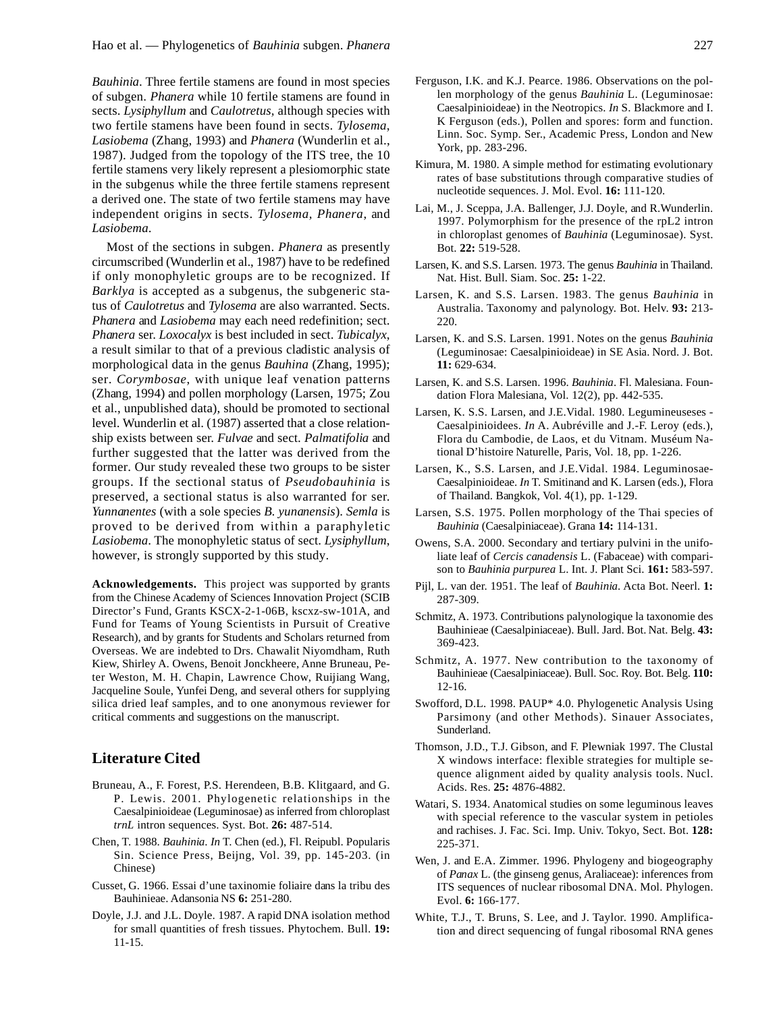*Bauhinia*. Three fertile stamens are found in most species of subgen. *Phanera* while 10 fertile stamens are found in sects. *Lysiphyllum* and *Caulotretus,* although species with two fertile stamens have been found in sects. *Tylosema*, *Lasiobema* (Zhang, 1993) and *Phanera* (Wunderlin et al., 1987). Judged from the topology of the ITS tree, the 10 fertile stamens very likely represent a plesiomorphic state in the subgenus while the three fertile stamens represent a derived one. The state of two fertile stamens may have independent origins in sects. *Tylosema, Phanera*, and *Lasiobema*.

Most of the sections in subgen. *Phanera* as presently circumscribed (Wunderlin et al., 1987) have to be redefined if only monophyletic groups are to be recognized. If *Barklya* is accepted as a subgenus, the subgeneric status of *Caulotretus* and *Tylosema* are also warranted. Sects. *Phanera* and *Lasiobema* may each need redefinition; sect. *Phanera* ser. *Loxocalyx* is best included in sect. *Tubicalyx*, a result similar to that of a previous cladistic analysis of morphological data in the genus *Bauhina* (Zhang, 1995); ser. *Corymbosae*, with unique leaf venation patterns (Zhang, 1994) and pollen morphology (Larsen, 1975; Zou et al., unpublished data), should be promoted to sectional level. Wunderlin et al. (1987) asserted that a close relationship exists between ser. *Fulvae* and sect. *Palmatifolia* and further suggested that the latter was derived from the former. Our study revealed these two groups to be sister groups. If the sectional status of *Pseudobauhinia* is preserved, a sectional status is also warranted for ser. *Yunnanentes* (with a sole species *B. yunanensis*). *Semla* is proved to be derived from within a paraphyletic *Lasiobema*. The monophyletic status of sect. *Lysiphyllum*, however, is strongly supported by this study.

**Acknowledgements.** This project was supported by grants from the Chinese Academy of Sciences Innovation Project (SCIB Director's Fund, Grants KSCX-2-1-06B, kscxz-sw-101A, and Fund for Teams of Young Scientists in Pursuit of Creative Research), and by grants for Students and Scholars returned from Overseas. We are indebted to Drs. Chawalit Niyomdham, Ruth Kiew, Shirley A. Owens, Benoit Jonckheere, Anne Bruneau, Peter Weston, M. H. Chapin, Lawrence Chow, Ruijiang Wang, Jacqueline Soule, Yunfei Deng, and several others for supplying silica dried leaf samples, and to one anonymous reviewer for critical comments and suggestions on the manuscript.

# **Literature Cited**

- Bruneau, A., F. Forest, P.S. Herendeen, B.B. Klitgaard, and G. P. Lewis. 2001. Phylogenetic relationships in the Caesalpinioideae (Leguminosae) as inferred from chloroplast *trnL* intron sequences. Syst. Bot. **26:** 487-514.
- Chen, T. 1988. *Bauhinia*. *In* T. Chen (ed.), Fl. Reipubl. Popularis Sin. Science Press, Beijng, Vol. 39, pp. 145-203. (in Chinese)
- Cusset, G. 1966. Essai d'une taxinomie foliaire dans la tribu des Bauhinieae. Adansonia NS **6:** 251-280.
- Doyle, J.J. and J.L. Doyle. 1987. A rapid DNA isolation method for small quantities of fresh tissues. Phytochem. Bull. **19:** 11-15.
- Ferguson, I.K. and K.J. Pearce. 1986. Observations on the pollen morphology of the genus *Bauhinia* L. (Leguminosae: Caesalpinioideae) in the Neotropics. *In* S. Blackmore and I. K Ferguson (eds.), Pollen and spores: form and function. Linn. Soc. Symp. Ser., Academic Press, London and New York, pp. 283-296.
- Kimura, M. 1980. A simple method for estimating evolutionary rates of base substitutions through comparative studies of nucleotide sequences. J. Mol. Evol. **16:** 111-120.
- Lai, M., J. Sceppa, J.A. Ballenger, J.J. Doyle, and R.Wunderlin. 1997. Polymorphism for the presence of the rpL2 intron in chloroplast genomes of *Bauhinia* (Leguminosae). Syst. Bot. **22:** 519-528.
- Larsen, K. and S.S. Larsen. 1973. The genus *Bauhinia* in Thailand. Nat. Hist. Bull. Siam. Soc. **25:** 1-22.
- Larsen, K. and S.S. Larsen. 1983. The genus *Bauhinia* in Australia. Taxonomy and palynology. Bot. Helv. **93:** 213- 220.
- Larsen, K. and S.S. Larsen. 1991. Notes on the genus *Bauhinia* (Leguminosae: Caesalpinioideae) in SE Asia. Nord. J. Bot. **11:** 629-634.
- Larsen, K. and S.S. Larsen. 1996. *Bauhinia*. Fl. Malesiana. Foundation Flora Malesiana, Vol. 12(2), pp. 442-535.
- Larsen, K. S.S. Larsen, and J.E.Vidal. 1980. Legumineuseses Caesalpinioidees. *In* A. Aubréville and J.-F. Leroy (eds.), Flora du Cambodie, de Laos, et du Vitnam. Muséum National D'histoire Naturelle, Paris, Vol. 18, pp. 1-226.
- Larsen, K., S.S. Larsen, and J.E.Vidal. 1984. Leguminosae-Caesalpinioideae. *In* T. Smitinand and K. Larsen (eds.), Flora of Thailand. Bangkok, Vol. 4(1), pp. 1-129.
- Larsen, S.S. 1975. Pollen morphology of the Thai species of *Bauhinia* (Caesalpiniaceae). Grana **14:** 114-131.
- Owens, S.A. 2000. Secondary and tertiary pulvini in the unifoliate leaf of *Cercis canadensis* L. (Fabaceae) with comparison to *Bauhinia purpurea* L. Int. J. Plant Sci. **161:** 583-597.
- Pijl, L. van der. 1951. The leaf of *Bauhinia*. Acta Bot. Neerl. **1:** 287-309.
- Schmitz, A. 1973. Contributions palynologique la taxonomie des Bauhinieae (Caesalpiniaceae). Bull. Jard. Bot. Nat. Belg. **43:** 369-423.
- Schmitz, A. 1977. New contribution to the taxonomy of Bauhinieae (Caesalpiniaceae). Bull. Soc. Roy. Bot. Belg. **110:** 12-16.
- Swofford, D.L. 1998. PAUP\* 4.0. Phylogenetic Analysis Using Parsimony (and other Methods). Sinauer Associates, Sunderland.
- Thomson, J.D., T.J. Gibson, and F. Plewniak 1997. The Clustal X windows interface: flexible strategies for multiple sequence alignment aided by quality analysis tools. Nucl. Acids. Res. **25:** 4876-4882.
- Watari, S. 1934. Anatomical studies on some leguminous leaves with special reference to the vascular system in petioles and rachises. J. Fac. Sci. Imp. Univ. Tokyo, Sect. Bot. **128:** 225-371.
- Wen, J. and E.A. Zimmer. 1996. Phylogeny and biogeography of *Panax* L. (the ginseng genus, Araliaceae): inferences from ITS sequences of nuclear ribosomal DNA. Mol. Phylogen. Evol. **6:** 166-177.
- White, T.J., T. Bruns, S. Lee, and J. Taylor. 1990. Amplification and direct sequencing of fungal ribosomal RNA genes